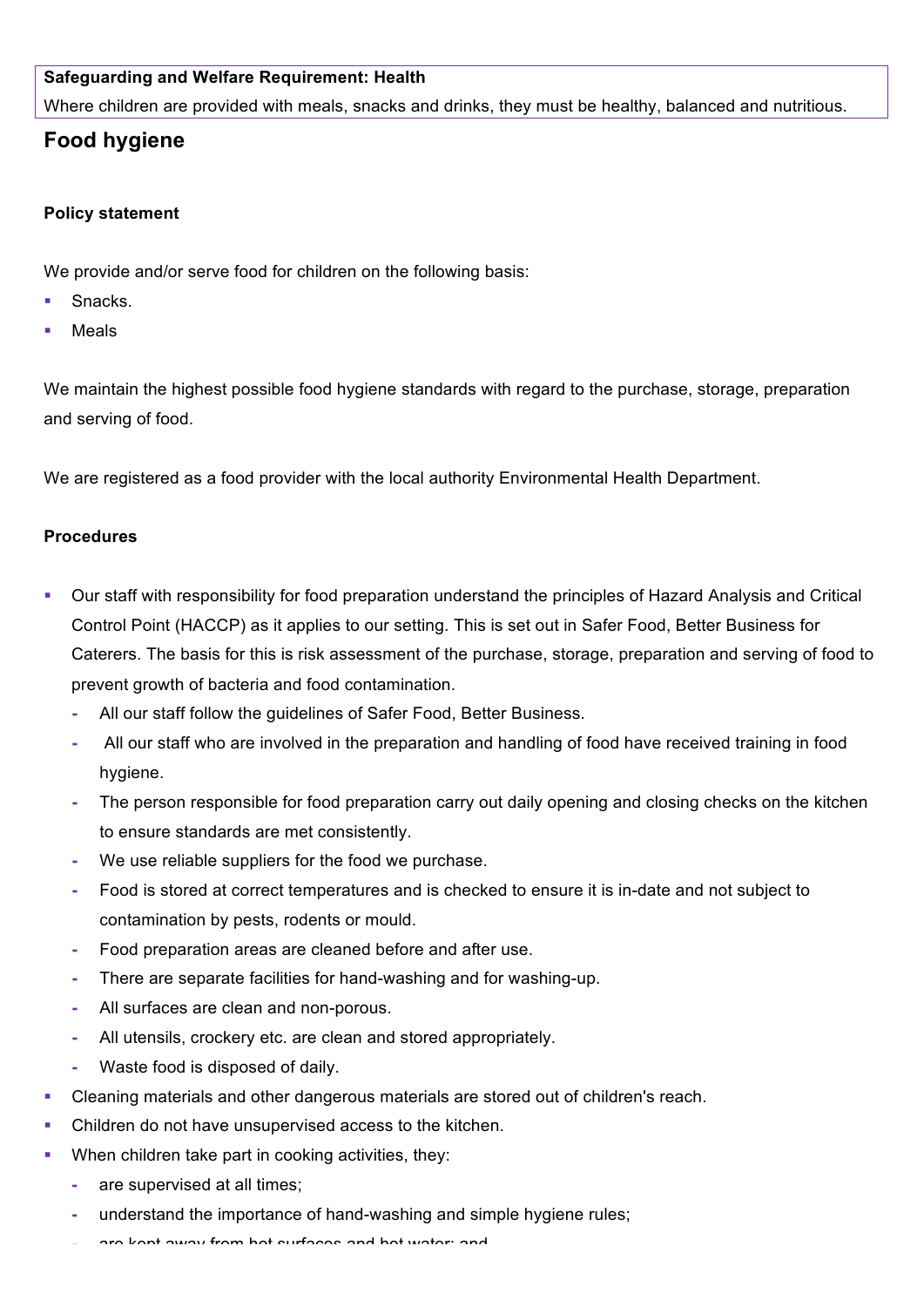## **Safeguarding and Welfare Requirement: Health**

Where children are provided with meals, snacks and drinks, they must be healthy, balanced and nutritious.

# **Food hygiene**

#### **Policy statement**

We provide and/or serve food for children on the following basis:

- § Snacks.
- **Meals**

We maintain the highest possible food hygiene standards with regard to the purchase, storage, preparation and serving of food.

We are registered as a food provider with the local authority Environmental Health Department.

## **Procedures**

- § Our staff with responsibility for food preparation understand the principles of Hazard Analysis and Critical Control Point (HACCP) as it applies to our setting. This is set out in Safer Food, Better Business for Caterers. The basis for this is risk assessment of the purchase, storage, preparation and serving of food to prevent growth of bacteria and food contamination.
	- **-** All our staff follow the guidelines of Safer Food, Better Business.
	- **-** All our staff who are involved in the preparation and handling of food have received training in food hygiene.
	- **-** The person responsible for food preparation carry out daily opening and closing checks on the kitchen to ensure standards are met consistently.
	- **-** We use reliable suppliers for the food we purchase.
	- **-** Food is stored at correct temperatures and is checked to ensure it is in-date and not subject to contamination by pests, rodents or mould.
	- **-** Food preparation areas are cleaned before and after use.
	- **-** There are separate facilities for hand-washing and for washing-up.
	- **-** All surfaces are clean and non-porous.
	- **-** All utensils, crockery etc. are clean and stored appropriately.
	- **-** Waste food is disposed of daily.
- § Cleaning materials and other dangerous materials are stored out of children's reach.
- Children do not have unsupervised access to the kitchen.
- When children take part in cooking activities, they:
	- **-** are supervised at all times;
	- **-** understand the importance of hand-washing and simple hygiene rules;